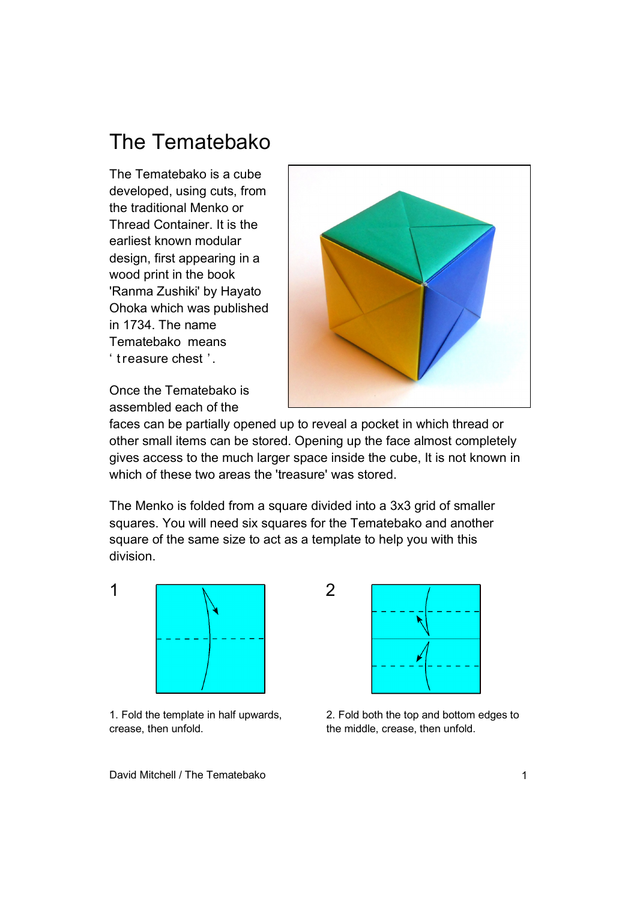## The Tematebako

The Tematebako is a cube developed, using cuts, from the traditional Menko or Thread Container. It is the earliest known modular design, first appearing in a wood print in the book 'Ranma Zushiki' by Hayato Ohoka which was published in 1734. The name Tematebako means ' t reasure chest ' .



Once the Tematebako is assembled each of the

faces can be partially opened up to reveal a pocket in which thread or other small items can be stored. Opening up the face almost completely gives access to the much larger space inside the cube, It is not known in which of these two areas the 'treasure' was stored.

The Menko is folded from a square divided into a 3x3 grid of smaller squares. You will need six squares for the Tematebako and another square of the same size to act as a template to help you with this division.



1. Fold the template in half upwards, crease, then unfold.



2. Fold both the top and bottom edges to the middle, crease, then unfold.

David Mitchell / The Tematebako 1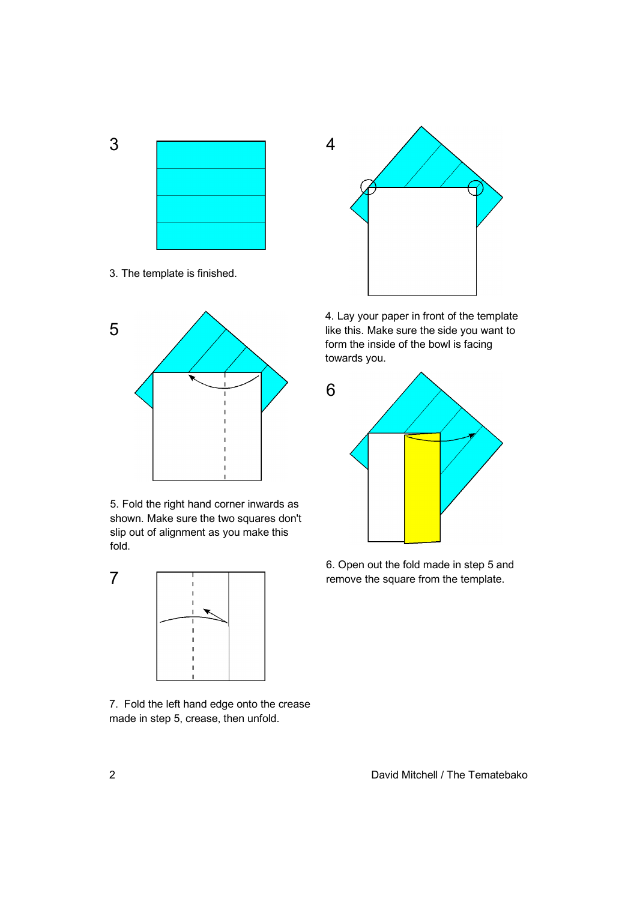



3. The template is finished.



5. Fold the right hand corner inwards as shown. Make sure the two squares don't slip out of alignment as you make this fold.



7. Fold the left hand edge onto the crease made in step 5, crease, then unfold.



4. Lay your paper in front of the template like this. Make sure the side you want to form the inside of the bowl is facing towards you.



6. Open out the fold made in step 5 and remove the square from the template.

2 David Mitchell / The Tematebako

7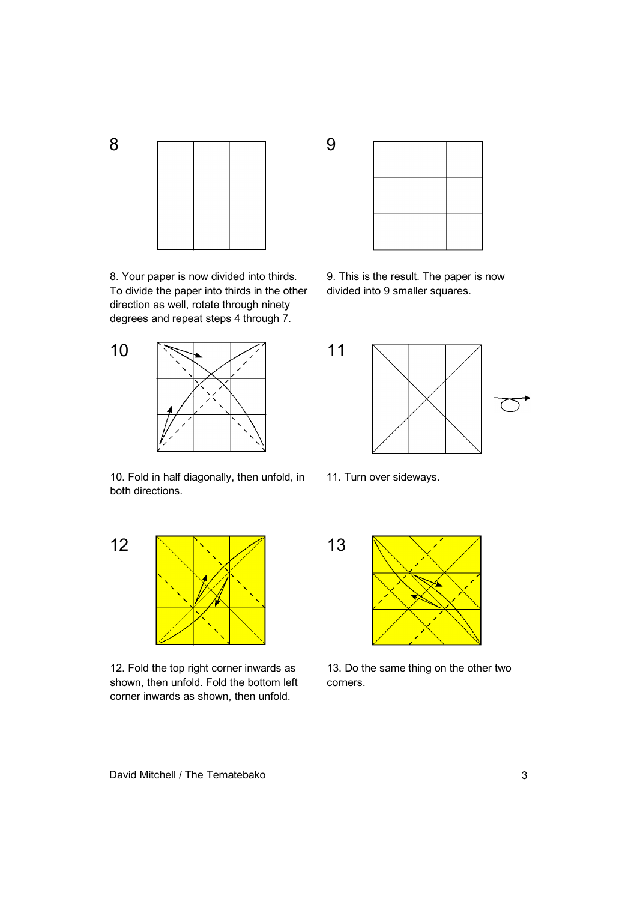

8. Your paper is now divided into thirds. To divide the paper into thirds in the other direction as well, rotate through ninety degrees and repeat steps 4 through 7.



10. Fold in half diagonally, then unfold, in both directions.



12. Fold the top right corner inwards as shown, then unfold. Fold the bottom left corner inwards as shown, then unfold.



9. This is the result. The paper is now divided into 9 smaller squares.



11. Turn over sideways.



13. Do the same thing on the other two corners.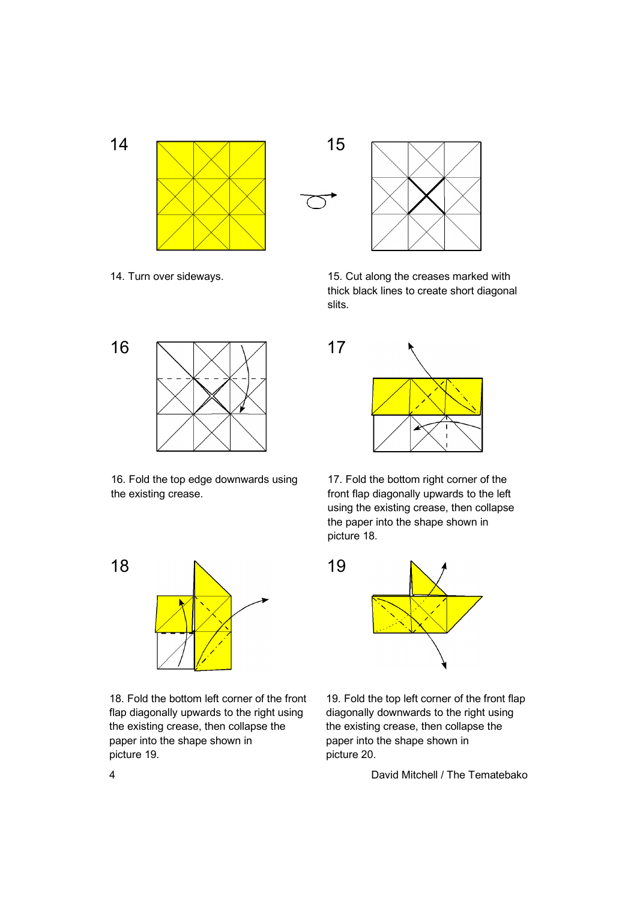



14. Turn over sideways. 15. Cut along the creases marked with thick black lines to create short diagonal slits.



16. Fold the top edge downwards using the existing crease.



18. Fold the bottom left corner of the front flap diagonally upwards to the right using the existing crease, then collapse the paper into the shape shown in picture 19.



17. Fold the bottom right corner of the front flap diagonally upwards to the left using the existing crease, then collapse the paper into the shape shown in picture 18.



19. Fold the top left corner of the front flap diagonally downwards to the right using the existing crease, then collapse the paper into the shape shown in picture 20.

4 David Mitchell / The Tematebako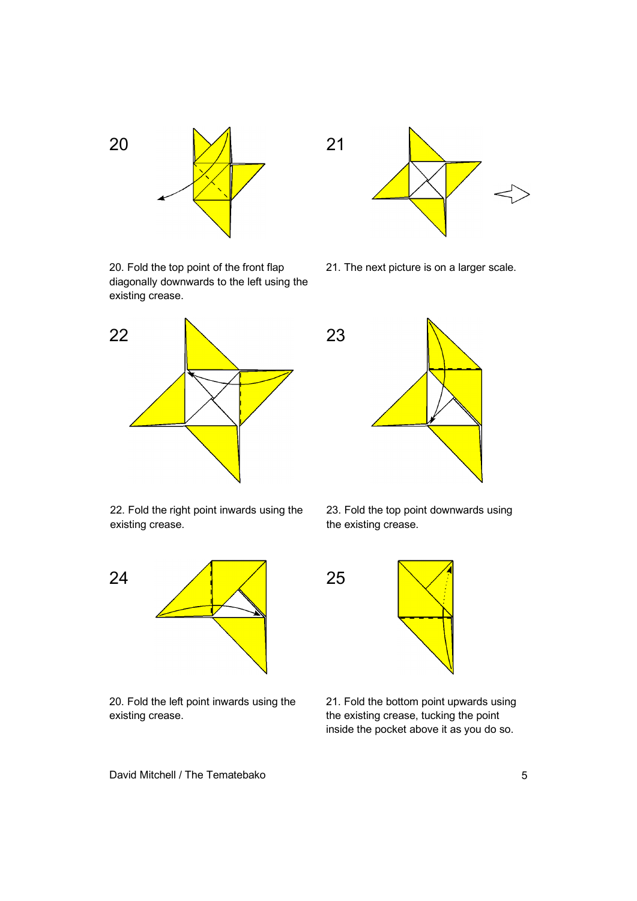

20. Fold the top point of the front flap diagonally downwards to the left using the existing crease.



22. Fold the right point inwards using the existing crease.



20. Fold the left point inwards using the existing crease.



21. The next picture is on a larger scale.



23. Fold the top point downwards using the existing crease.



21. Fold the bottom point upwards using the existing crease, tucking the point inside the pocket above it as you do so.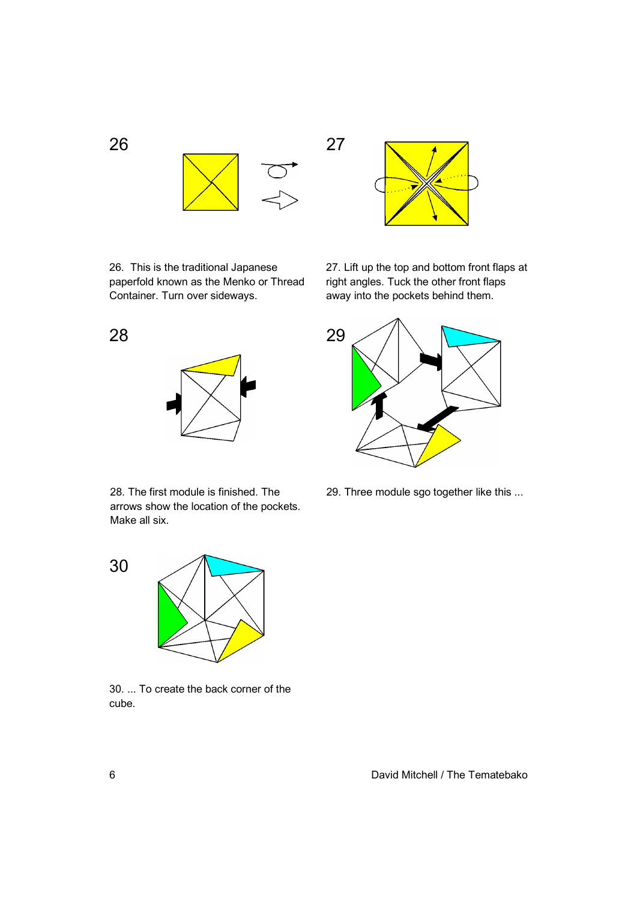

27

26. This is the traditional Japanese paperfold known as the Menko or Thread 27. Lift up the top and bottom front flaps at right angles. Tuck the other front flaps away into the pockets behind them.



29. Three module sgo together like this ...





28. The first module is finished. The arrows show the location of the pockets. Make all six.



30. ... To create the back corner of the cube.

6 David Mitchell / The Tematebako

26

28